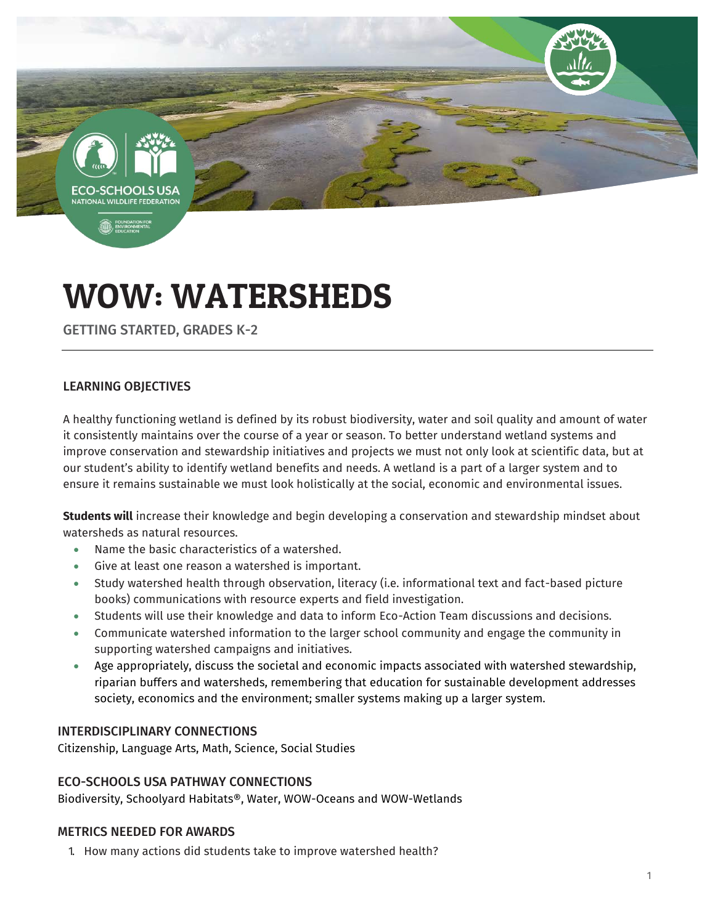-SCHOOLS **TIONAL WILDLIFE FEDERAT** 

**B** FOUND

# WOW: WATERSHEDS

GETTING STARTED, GRADES K-2

# LEARNING OBJECTIVES

A healthy functioning wetland is defined by its robust biodiversity, water and soil quality and amount of water it consistently maintains over the course of a year or season. To better understand wetland systems and improve conservation and stewardship initiatives and projects we must not only look at scientific data, but at our student's ability to identify wetland benefits and needs. A wetland is a part of a larger system and to ensure it remains sustainable we must look holistically at the social, economic and environmental issues.

**Students will** increase their knowledge and begin developing a conservation and stewardship mindset about watersheds as natural resources.

- Name the basic characteristics of a watershed.
- Give at least one reason a watershed is important.
- Study watershed health through observation, literacy (i.e. informational text and fact-based picture books) communications with resource experts and field investigation.
- Students will use their knowledge and data to inform Eco-Action Team discussions and decisions.
- Communicate watershed information to the larger school community and engage the community in supporting watershed campaigns and initiatives.
- Age appropriately, discuss the societal and economic impacts associated with watershed stewardship, riparian buffers and watersheds, remembering that education for sustainable development addresses society, economics and the environment; smaller systems making up a larger system.

# INTERDISCIPLINARY CONNECTIONS

Citizenship, Language Arts, Math, Science, Social Studies

### ECO-SCHOOLS USA PATHWAY CONNECTIONS

Biodiversity, Schoolyard Habitats®, Water, WOW-Oceans and WOW-Wetlands

### METRICS NEEDED FOR AWARDS

1. How many actions did students take to improve watershed health?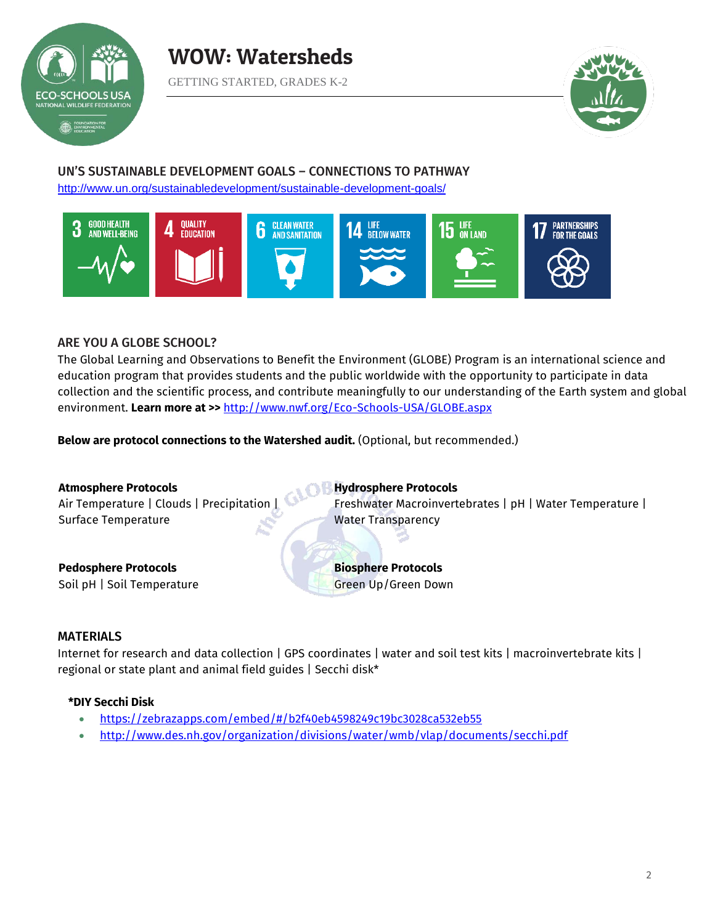



# UN'S SUSTAINABLE DEVELOPMENT GOALS – CONNECTIONS TO PATHWAY

<http://www.un.org/sustainabledevelopment/sustainable-development-goals/>



## ARE YOU A GLOBE SCHOOL?

The Global Learning and Observations to Benefit the Environment (GLOBE) Program is an international science and education program that provides students and the public worldwide with the opportunity to participate in data collection and the scientific process, and contribute meaningfully to our understanding of the Earth system and global environment. **Learn more at >>** <http://www.nwf.org/Eco-Schools-USA/GLOBE.aspx>

**Below are protocol connections to the Watershed audit.** (Optional, but recommended.)

) B

**Atmosphere Protocols** Air Temperature | Clouds | Precipitation | Surface Temperature

**Pedosphere Protocols** Soil pH | Soil Temperature **Hydrosphere Protocols** Freshwater Macroinvertebrates | pH | Water Temperature | Water Transparency

**Biosphere Protocols**  Green Up/Green Down

### MATERIALS

Internet for research and data collection | GPS coordinates | water and soil test kits | macroinvertebrate kits | regional or state plant and animal field guides | Secchi disk\*

### **\*DIY Secchi Disk**

- <https://zebrazapps.com/embed/#/b2f40eb4598249c19bc3028ca532eb55>
- <http://www.des.nh.gov/organization/divisions/water/wmb/vlap/documents/secchi.pdf>